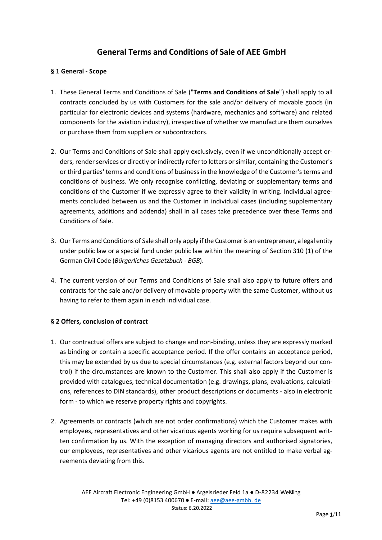# **General Terms and Conditions of Sale of AEE GmbH**

#### **§ 1 General - Scope**

- 1. These General Terms and Conditions of Sale ("**Terms and Conditions of Sale**") shall apply to all contracts concluded by us with Customers for the sale and/or delivery of movable goods (in particular for electronic devices and systems (hardware, mechanics and software) and related components for the aviation industry), irrespective of whether we manufacture them ourselves or purchase them from suppliers or subcontractors.
- 2. Our Terms and Conditions of Sale shall apply exclusively, even if we unconditionally accept orders, render services or directly or indirectly refer to letters or similar, containing the Customer's or third parties' terms and conditions of business in the knowledge of the Customer's terms and conditions of business. We only recognise conflicting, deviating or supplementary terms and conditions of the Customer if we expressly agree to their validity in writing. Individual agreements concluded between us and the Customer in individual cases (including supplementary agreements, additions and addenda) shall in all cases take precedence over these Terms and Conditions of Sale.
- 3. Our Terms and Conditions of Sale shall only apply if the Customer is an entrepreneur, a legal entity under public law or a special fund under public law within the meaning of Section 310 (1) of the German Civil Code (*Bürgerliches Gesetzbuch - BGB*).
- 4. The current version of our Terms and Conditions of Sale shall also apply to future offers and contracts for the sale and/or delivery of movable property with the same Customer, without us having to refer to them again in each individual case.

#### **§ 2 Offers, conclusion of contract**

- 1. Our contractual offers are subject to change and non-binding, unless they are expressly marked as binding or contain a specific acceptance period. If the offer contains an acceptance period, this may be extended by us due to special circumstances (e.g. external factors beyond our control) if the circumstances are known to the Customer. This shall also apply if the Customer is provided with catalogues, technical documentation (e.g. drawings, plans, evaluations, calculations, references to DIN standards), other product descriptions or documents - also in electronic form - to which we reserve property rights and copyrights.
- 2. Agreements or contracts (which are not order confirmations) which the Customer makes with employees, representatives and other vicarious agents working for us require subsequent written confirmation by us. With the exception of managing directors and authorised signatories, our employees, representatives and other vicarious agents are not entitled to make verbal agreements deviating from this.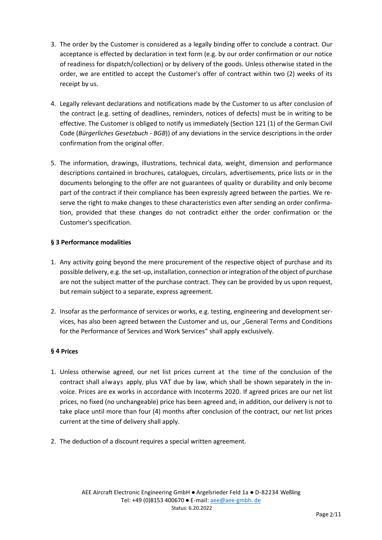- 3. The order by the Customer is considered as a legally binding offer to conclude a contract. Our acceptance is effected by declaration in text form (e.g. by our order confirmation or our notice of readiness for dispatch/collection) or by delivery of the goods. Unless otherwise stated in the order, we are entitled to accept the Customer's offer of contract within two (2) weeks of its receipt by us.
- 4. Legally relevant declarations and notifications made by the Customer to us after conclusion of the contract (e.g. setting of deadlines, reminders, notices of defects) must be in writing to be effective. The Customer is obliged to notify us immediately (Section 121 (1) of the German Civil Code (*Bürgerliches Gesetzbuch - BGB*)) of any deviations in the service descriptions in the order confirmation from the original offer.
- 5. The information, drawings, illustrations, technical data, weight, dimension and performance descriptions contained in brochures, catalogues, circulars, advertisements, price lists or in the documents belonging to the offer are not guarantees of quality or durability and only become part of the contract if their compliance has been expressly agreed between the parties. We reserve the right to make changes to these characteristics even after sending an order confirmation, provided that these changes do not contradict either the order confirmation or the Customer's specification.

# **§ 3 Performance modalities**

- 1. Any activity going beyond the mere procurement of the respective object of purchase and its possible delivery, e.g. the set-up, installation, connection or integration of the object of purchase are not the subject matter of the purchase contract. They can be provided by us upon request, but remain subject to a separate, express agreement.
- 2. Insofar as the performance of services or works, e.g. testing, engineering and development services, has also been agreed between the Customer and us, our "General Terms and Conditions for the Performance of Services and Work Services" shall apply exclusively.

#### **§ 4 Prices**

- 1. Unless otherwise agreed, our net list prices current at the time of the conclusion of the contract shall always apply, plus VAT due by law, which shall be shown separately in the invoice. Prices are ex works in accordance with Incoterms 2020. If agreed prices are our net list prices, no fixed (no unchangeable) price has been agreed and, in addition, our delivery is not to take place until more than four (4) months after conclusion of the contract, our net list prices current at the time of delivery shall apply.
- 2. The deduction of a discount requires a special written agreement.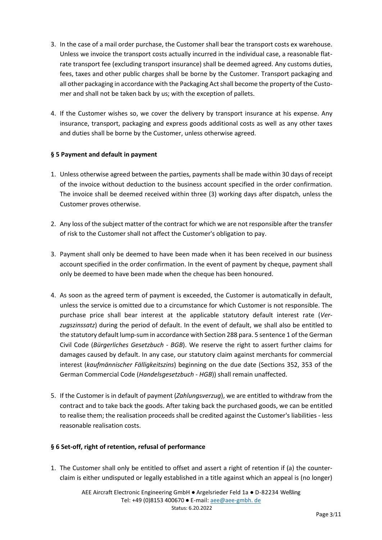- 3. In the case of a mail order purchase, the Customer shall bear the transport costs ex warehouse. Unless we invoice the transport costs actually incurred in the individual case, a reasonable flatrate transport fee (excluding transport insurance) shall be deemed agreed. Any customs duties, fees, taxes and other public charges shall be borne by the Customer. Transport packaging and all other packaging in accordance with the Packaging Act shall become the property of the Customer and shall not be taken back by us; with the exception of pallets.
- 4. If the Customer wishes so, we cover the delivery by transport insurance at his expense. Any insurance, transport, packaging and express goods additional costs as well as any other taxes and duties shall be borne by the Customer, unless otherwise agreed.

# **§ 5 Payment and default in payment**

- 1. Unless otherwise agreed between the parties, payments shall be made within 30 days of receipt of the invoice without deduction to the business account specified in the order confirmation. The invoice shall be deemed received within three (3) working days after dispatch, unless the Customer proves otherwise.
- 2. Any loss of the subject matter of the contract for which we are not responsible after the transfer of risk to the Customer shall not affect the Customer's obligation to pay.
- 3. Payment shall only be deemed to have been made when it has been received in our business account specified in the order confirmation. In the event of payment by cheque, payment shall only be deemed to have been made when the cheque has been honoured.
- 4. As soon as the agreed term of payment is exceeded, the Customer is automatically in default, unless the service is omitted due to a circumstance for which Customer is not responsible. The purchase price shall bear interest at the applicable statutory default interest rate (*Verzugszinssatz*) during the period of default. In the event of default, we shall also be entitled to the statutory default lump-sum in accordance with Section 288 para. 5 sentence 1 of the German Civil Code (*Bürgerliches Gesetzbuch - BGB*). We reserve the right to assert further claims for damages caused by default. In any case, our statutory claim against merchants for commercial interest (*kaufmännischer Fälligkeitszins*) beginning on the due date (Sections 352, 353 of the German Commercial Code (*Handelsgesetzbuch - HGB*)) shall remain unaffected.
- 5. If the Customer is in default of payment (*Zahlungsverzug*), we are entitled to withdraw from the contract and to take back the goods. After taking back the purchased goods, we can be entitled to realise them; the realisation proceeds shall be credited against the Customer's liabilities - less reasonable realisation costs.

#### **§ 6 Set-off, right of retention, refusal of performance**

1. The Customer shall only be entitled to offset and assert a right of retention if (a) the counterclaim is either undisputed or legally established in a title against which an appeal is (no longer)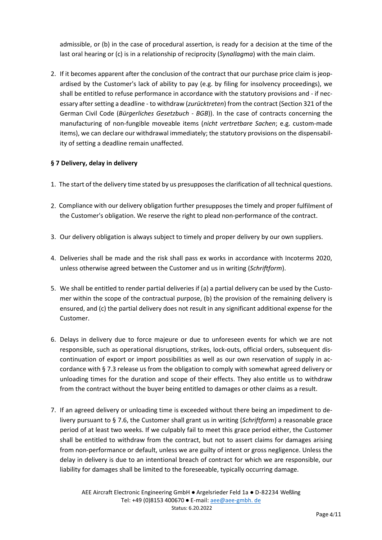admissible, or (b) in the case of procedural assertion, is ready for a decision at the time of the last oral hearing or (c) is in a relationship of reciprocity (*Synallagma*) with the main claim.

2. If it becomes apparent after the conclusion of the contract that our purchase price claim is jeopardised by the Customer's lack of ability to pay (e.g. by filing for insolvency proceedings), we shall be entitled to refuse performance in accordance with the statutory provisions and - if necessary after setting a deadline - to withdraw (*zurücktreten*) from the contract (Section 321 of the German Civil Code (*Bürgerliches Gesetzbuch - BGB*)). In the case of contracts concerning the manufacturing of non-fungible moveable items (*nicht vertretbare Sachen*; e.g. custom-made items), we can declare our withdrawal immediately; the statutory provisions on the dispensability of setting a deadline remain unaffected.

# **§ 7 Delivery, delay in delivery**

- 1. The start of the delivery time stated by us presupposes the clarification of all technical questions.
- 2. Compliance with our delivery obligation further presupposes the timely and proper fulfilment of the Customer's obligation. We reserve the right to plead non-performance of the contract.
- 3. Our delivery obligation is always subject to timely and proper delivery by our own suppliers.
- 4. Deliveries shall be made and the risk shall pass ex works in accordance with Incoterms 2020, unless otherwise agreed between the Customer and us in writing (*Schriftform*).
- 5. We shall be entitled to render partial deliveries if (a) a partial delivery can be used by the Customer within the scope of the contractual purpose, (b) the provision of the remaining delivery is ensured, and (c) the partial delivery does not result in any significant additional expense for the Customer.
- 6. Delays in delivery due to force majeure or due to unforeseen events for which we are not responsible, such as operational disruptions, strikes, lock-outs, official orders, subsequent discontinuation of export or import possibilities as well as our own reservation of supply in accordance with § 7.3 release us from the obligation to comply with somewhat agreed delivery or unloading times for the duration and scope of their effects. They also entitle us to withdraw from the contract without the buyer being entitled to damages or other claims as a result.
- 7. If an agreed delivery or unloading time is exceeded without there being an impediment to delivery pursuant to § 7.6, the Customer shall grant us in writing (*Schriftform*) a reasonable grace period of at least two weeks. If we culpably fail to meet this grace period either, the Customer shall be entitled to withdraw from the contract, but not to assert claims for damages arising from non-performance or default, unless we are guilty of intent or gross negligence. Unless the delay in delivery is due to an intentional breach of contract for which we are responsible, our liability for damages shall be limited to the foreseeable, typically occurring damage.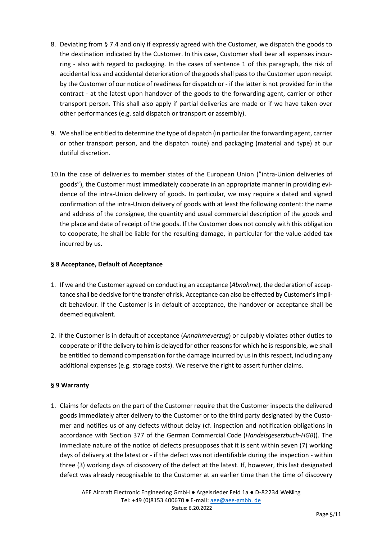- 8. Deviating from § 7.4 and only if expressly agreed with the Customer, we dispatch the goods to the destination indicated by the Customer. In this case, Customer shall bear all expenses incurring - also with regard to packaging. In the cases of sentence 1 of this paragraph, the risk of accidental loss and accidental deterioration of the goods shall pass to the Customer upon receipt by the Customer of our notice of readiness for dispatch or - if the latter is not provided for in the contract - at the latest upon handover of the goods to the forwarding agent, carrier or other transport person. This shall also apply if partial deliveries are made or if we have taken over other performances (e.g. said dispatch or transport or assembly).
- 9. We shall be entitled to determine the type of dispatch (in particular the forwarding agent, carrier or other transport person, and the dispatch route) and packaging (material and type) at our dutiful discretion.
- 10.In the case of deliveries to member states of the European Union ("intra-Union deliveries of goods"), the Customer must immediately cooperate in an appropriate manner in providing evidence of the intra-Union delivery of goods. In particular, we may require a dated and signed confirmation of the intra-Union delivery of goods with at least the following content: the name and address of the consignee, the quantity and usual commercial description of the goods and the place and date of receipt of the goods. If the Customer does not comply with this obligation to cooperate, he shall be liable for the resulting damage, in particular for the value-added tax incurred by us.

# **§ 8 Acceptance, Default of Acceptance**

- 1. If we and the Customer agreed on conducting an acceptance (*Abnahme*), the declaration of acceptance shall be decisive for the transfer of risk. Acceptance can also be effected by Customer's implicit behaviour. If the Customer is in default of acceptance, the handover or acceptance shall be deemed equivalent.
- 2. If the Customer is in default of acceptance (*Annahmeverzug*) or culpably violates other duties to cooperate or if the delivery to him is delayed for other reasons for which he is responsible, we shall be entitled to demand compensation for the damage incurred by us in this respect, including any additional expenses (e.g. storage costs). We reserve the right to assert further claims.

#### **§ 9 Warranty**

1. Claims for defects on the part of the Customer require that the Customer inspects the delivered goods immediately after delivery to the Customer or to the third party designated by the Customer and notifies us of any defects without delay (cf. inspection and notification obligations in accordance with Section 377 of the German Commercial Code (*Handelsgesetzbuch-HGB*)). The immediate nature of the notice of defects presupposes that it is sent within seven (7) working days of delivery at the latest or - if the defect was not identifiable during the inspection - within three (3) working days of discovery of the defect at the latest. If, however, this last designated defect was already recognisable to the Customer at an earlier time than the time of discovery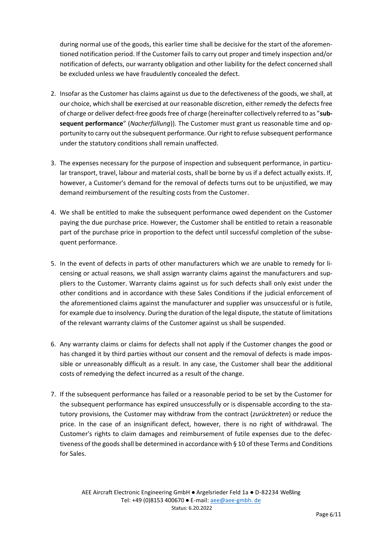during normal use of the goods, this earlier time shall be decisive for the start of the aforementioned notification period. If the Customer fails to carry out proper and timely inspection and/or notification of defects, our warranty obligation and other liability for the defect concerned shall be excluded unless we have fraudulently concealed the defect.

- 2. Insofar as the Customer has claims against us due to the defectiveness of the goods, we shall, at our choice, which shall be exercised at our reasonable discretion, either remedy the defects free of charge or deliver defect-free goods free of charge (hereinafter collectively referred to as "**subsequent performance**" (*Nacherfüllung*)). The Customer must grant us reasonable time and opportunity to carry out the subsequent performance. Our right to refuse subsequent performance under the statutory conditions shall remain unaffected.
- 3. The expenses necessary for the purpose of inspection and subsequent performance, in particular transport, travel, labour and material costs, shall be borne by us if a defect actually exists. If, however, a Customer's demand for the removal of defects turns out to be unjustified, we may demand reimbursement of the resulting costs from the Customer.
- 4. We shall be entitled to make the subsequent performance owed dependent on the Customer paying the due purchase price. However, the Customer shall be entitled to retain a reasonable part of the purchase price in proportion to the defect until successful completion of the subsequent performance.
- 5. In the event of defects in parts of other manufacturers which we are unable to remedy for licensing or actual reasons, we shall assign warranty claims against the manufacturers and suppliers to the Customer. Warranty claims against us for such defects shall only exist under the other conditions and in accordance with these Sales Conditions if the judicial enforcement of the aforementioned claims against the manufacturer and supplier was unsuccessful or is futile, for example due to insolvency. During the duration of the legal dispute, the statute of limitations of the relevant warranty claims of the Customer against us shall be suspended.
- 6. Any warranty claims or claims for defects shall not apply if the Customer changes the good or has changed it by third parties without our consent and the removal of defects is made impossible or unreasonably difficult as a result. In any case, the Customer shall bear the additional costs of remedying the defect incurred as a result of the change.
- 7. If the subsequent performance has failed or a reasonable period to be set by the Customer for the subsequent performance has expired unsuccessfully or is dispensable according to the statutory provisions, the Customer may withdraw from the contract (*zurücktreten*) or reduce the price. In the case of an insignificant defect, however, there is no right of withdrawal. The Customer's rights to claim damages and reimbursement of futile expenses due to the defectiveness of the goods shall be determined in accordance with § 10 of these Terms and Conditions for Sales.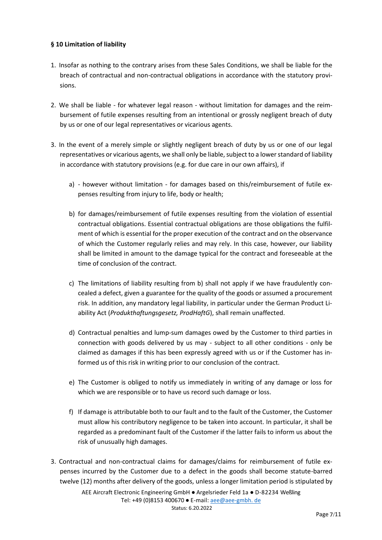#### **§ 10 Limitation of liability**

- 1. Insofar as nothing to the contrary arises from these Sales Conditions, we shall be liable for the breach of contractual and non-contractual obligations in accordance with the statutory provisions.
- 2. We shall be liable for whatever legal reason without limitation for damages and the reimbursement of futile expenses resulting from an intentional or grossly negligent breach of duty by us or one of our legal representatives or vicarious agents.
- 3. In the event of a merely simple or slightly negligent breach of duty by us or one of our legal representatives or vicarious agents, we shall only be liable, subject to a lower standard of liability in accordance with statutory provisions (e.g. for due care in our own affairs), if
	- a) however without limitation for damages based on this/reimbursement of futile expenses resulting from injury to life, body or health;
	- b) for damages/reimbursement of futile expenses resulting from the violation of essential contractual obligations. Essential contractual obligations are those obligations the fulfilment of which is essential for the proper execution of the contract and on the observance of which the Customer regularly relies and may rely. In this case, however, our liability shall be limited in amount to the damage typical for the contract and foreseeable at the time of conclusion of the contract.
	- c) The limitations of liability resulting from b) shall not apply if we have fraudulently concealed a defect, given a guarantee for the quality of the goods or assumed a procurement risk. In addition, any mandatory legal liability, in particular under the German Product Liability Act (*Produkthaftungsgesetz, ProdHaftG*), shall remain unaffected.
	- d) Contractual penalties and lump-sum damages owed by the Customer to third parties in connection with goods delivered by us may - subject to all other conditions - only be claimed as damages if this has been expressly agreed with us or if the Customer has informed us of this risk in writing prior to our conclusion of the contract.
	- e) The Customer is obliged to notify us immediately in writing of any damage or loss for which we are responsible or to have us record such damage or loss.
	- f) If damage is attributable both to our fault and to the fault of the Customer, the Customer must allow his contributory negligence to be taken into account. In particular, it shall be regarded as a predominant fault of the Customer if the latter fails to inform us about the risk of unusually high damages.
- 3. Contractual and non-contractual claims for damages/claims for reimbursement of futile expenses incurred by the Customer due to a defect in the goods shall become statute-barred twelve (12) months after delivery of the goods, unless a longer limitation period is stipulated by

AEE Aircraft Electronic Engineering GmbH ● Argelsrieder Feld 1a ● D-82234 Weßling Tel: +49 (0)8153 400670 ● E-mail[: aee@aee-gmbh. de](mailto:aee@aee-gmbh.de) Status: 6.20.2022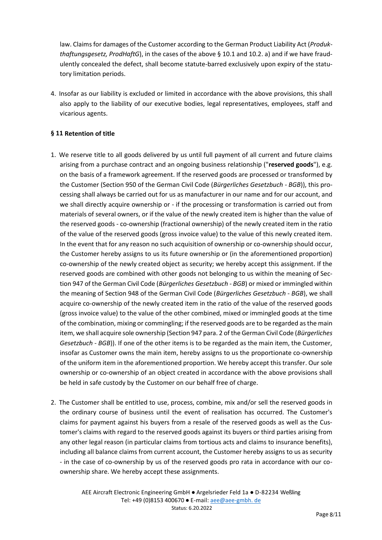law. Claims for damages of the Customer according to the German Product Liability Act (*Produkthaftungsgesetz, ProdHaftG*), in the cases of the above § 10.1 and 10.2. a) and if we have fraudulently concealed the defect, shall become statute-barred exclusively upon expiry of the statutory limitation periods.

4. Insofar as our liability is excluded or limited in accordance with the above provisions, this shall also apply to the liability of our executive bodies, legal representatives, employees, staff and vicarious agents.

# **§ 11 Retention of title**

- 1. We reserve title to all goods delivered by us until full payment of all current and future claims arising from a purchase contract and an ongoing business relationship ("**reserved goods**"), e.g. on the basis of a framework agreement. If the reserved goods are processed or transformed by the Customer (Section 950 of the German Civil Code (*Bürgerliches Gesetzbuch - BGB*)), this processing shall always be carried out for us as manufacturer in our name and for our account, and we shall directly acquire ownership or - if the processing or transformation is carried out from materials of several owners, or if the value of the newly created item is higher than the value of the reserved goods - co-ownership (fractional ownership) of the newly created item in the ratio of the value of the reserved goods (gross invoice value) to the value of this newly created item. In the event that for any reason no such acquisition of ownership or co-ownership should occur, the Customer hereby assigns to us its future ownership or (in the aforementioned proportion) co-ownership of the newly created object as security; we hereby accept this assignment. If the reserved goods are combined with other goods not belonging to us within the meaning of Section 947 of the German Civil Code (*Bürgerliches Gesetzbuch - BGB*) or mixed or immingled within the meaning of Section 948 of the German Civil Code (*Bürgerliches Gesetzbuch - BGB*), we shall acquire co-ownership of the newly created item in the ratio of the value of the reserved goods (gross invoice value) to the value of the other combined, mixed or immingled goods at the time of the combination, mixing or commingling; if the reserved goods are to be regarded as the main item, we shall acquire sole ownership (Section 947 para. 2 of the German Civil Code (*Bürgerliches Gesetzbuch - BGB*)). If one of the other items is to be regarded as the main item, the Customer, insofar as Customer owns the main item, hereby assigns to us the proportionate co-ownership of the uniform item in the aforementioned proportion. We hereby accept this transfer. Our sole ownership or co-ownership of an object created in accordance with the above provisions shall be held in safe custody by the Customer on our behalf free of charge.
- 2. The Customer shall be entitled to use, process, combine, mix and/or sell the reserved goods in the ordinary course of business until the event of realisation has occurred. The Customer's claims for payment against his buyers from a resale of the reserved goods as well as the Customer's claims with regard to the reserved goods against its buyers or third parties arising from any other legal reason (in particular claims from tortious acts and claims to insurance benefits), including all balance claims from current account, the Customer hereby assigns to us as security - in the case of co-ownership by us of the reserved goods pro rata in accordance with our coownership share. We hereby accept these assignments.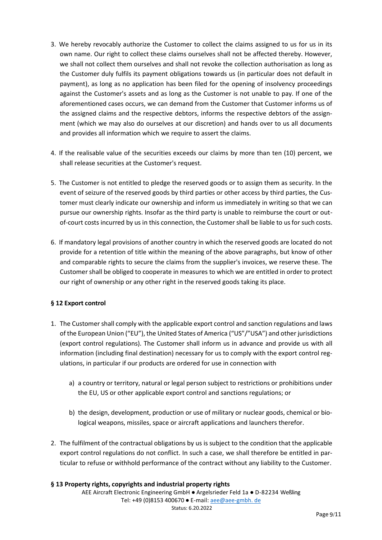- 3. We hereby revocably authorize the Customer to collect the claims assigned to us for us in its own name. Our right to collect these claims ourselves shall not be affected thereby. However, we shall not collect them ourselves and shall not revoke the collection authorisation as long as the Customer duly fulfils its payment obligations towards us (in particular does not default in payment), as long as no application has been filed for the opening of insolvency proceedings against the Customer's assets and as long as the Customer is not unable to pay. If one of the aforementioned cases occurs, we can demand from the Customer that Customer informs us of the assigned claims and the respective debtors, informs the respective debtors of the assignment (which we may also do ourselves at our discretion) and hands over to us all documents and provides all information which we require to assert the claims.
- 4. If the realisable value of the securities exceeds our claims by more than ten (10) percent, we shall release securities at the Customer's request.
- 5. The Customer is not entitled to pledge the reserved goods or to assign them as security. In the event of seizure of the reserved goods by third parties or other access by third parties, the Customer must clearly indicate our ownership and inform us immediately in writing so that we can pursue our ownership rights. Insofar as the third party is unable to reimburse the court or outof-court costs incurred by us in this connection, the Customer shall be liable to us for such costs.
- 6. If mandatory legal provisions of another country in which the reserved goods are located do not provide for a retention of title within the meaning of the above paragraphs, but know of other and comparable rights to secure the claims from the supplier's invoices, we reserve these. The Customer shall be obliged to cooperate in measures to which we are entitled in order to protect our right of ownership or any other right in the reserved goods taking its place.

# **§ 12 Export control**

- 1. The Customer shall comply with the applicable export control and sanction regulations and laws of the European Union ("EU"), the United States of America ("US"/"USA") and other jurisdictions (export control regulations). The Customer shall inform us in advance and provide us with all information (including final destination) necessary for us to comply with the export control regulations, in particular if our products are ordered for use in connection with
	- a) a country or territory, natural or legal person subject to restrictions or prohibitions under the EU, US or other applicable export control and sanctions regulations; or
	- b) the design, development, production or use of military or nuclear goods, chemical or biological weapons, missiles, space or aircraft applications and launchers therefor.
- 2. The fulfilment of the contractual obligations by us is subject to the condition that the applicable export control regulations do not conflict. In such a case, we shall therefore be entitled in particular to refuse or withhold performance of the contract without any liability to the Customer.

#### **§ 13 Property rights, copyrights and industrial property rights**

AEE Aircraft Electronic Engineering GmbH ● Argelsrieder Feld 1a ● D-82234 Weßling Tel: +49 (0)8153 400670 ● E-mail[: aee@aee-gmbh. de](mailto:aee@aee-gmbh.de) Status: 6.20.2022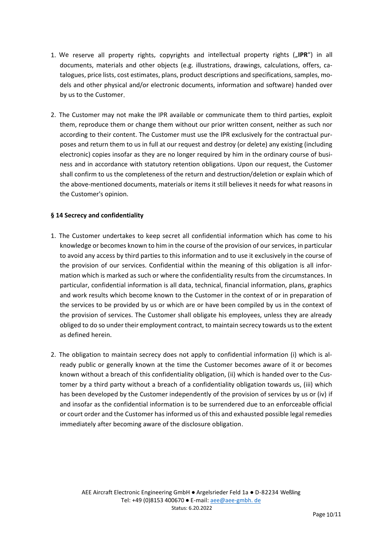- 1. We reserve all property rights, copyrights and intellectual property rights ("IPR") in all documents, materials and other objects (e.g. illustrations, drawings, calculations, offers, catalogues, price lists, cost estimates, plans, product descriptions and specifications, samples, models and other physical and/or electronic documents, information and software) handed over by us to the Customer.
- 2. The Customer may not make the IPR available or communicate them to third parties, exploit them, reproduce them or change them without our prior written consent, neither as such nor according to their content. The Customer must use the IPR exclusively for the contractual purposes and return them to us in full at our request and destroy (or delete) any existing (including electronic) copies insofar as they are no longer required by him in the ordinary course of business and in accordance with statutory retention obligations. Upon our request, the Customer shall confirm to us the completeness of the return and destruction/deletion or explain which of the above-mentioned documents, materials or items it still believes it needs for what reasons in the Customer's opinion.

#### **§ 14 Secrecy and confidentiality**

- 1. The Customer undertakes to keep secret all confidential information which has come to his knowledge or becomes known to him in the course of the provision of our services, in particular to avoid any access by third parties to this information and to use it exclusively in the course of the provision of our services. Confidential within the meaning of this obligation is all information which is marked as such or where the confidentiality results from the circumstances. In particular, confidential information is all data, technical, financial information, plans, graphics and work results which become known to the Customer in the context of or in preparation of the services to be provided by us or which are or have been compiled by us in the context of the provision of services. The Customer shall obligate his employees, unless they are already obliged to do so under their employment contract, to maintain secrecy towards us to the extent as defined herein.
- 2. The obligation to maintain secrecy does not apply to confidential information (i) which is already public or generally known at the time the Customer becomes aware of it or becomes known without a breach of this confidentiality obligation, (ii) which is handed over to the Customer by a third party without a breach of a confidentiality obligation towards us, (iii) which has been developed by the Customer independently of the provision of services by us or (iv) if and insofar as the confidential information is to be surrendered due to an enforceable official or court order and the Customer has informed us of this and exhausted possible legal remedies immediately after becoming aware of the disclosure obligation.